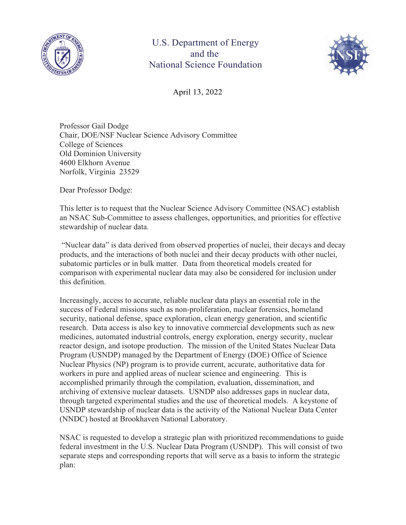



April 13, 2022

Professor Gail Dodge Chair, DOE/NSF Nuclear Science Advisory Committee College of Sciences Old Dominion University 4600 Elkhorn Avenue Norfolk, Virginia 23529

Dear Professor Dodge:

This letter is to request that the Nuclear Science Advisory Committee (NSAC) establish an NSAC Sub-Committee to assess challenges, opportunities, and priorities for effective stewardship of nuclear data.

 "Nuclear data" is data derived from observed properties of nuclei, their decays and decay products, and the interactions of both nuclei and their decay products with other nuclei, subatomic particles or in bulk matter. Data from theoretical models created for comparison with experimental nuclear data may also be considered for inclusion under this definition.

Increasingly, access to accurate, reliable nuclear data plays an essential role in the success of Federal missions such as non-proliferation, nuclear forensics, homeland security, national defense, space exploration, clean energy generation, and scientific research. Data access is also key to innovative commercial developments such as new medicines, automated industrial controls, energy exploration, energy security, nuclear reactor design, and isotope production. The mission of the United States Nuclear Data Program (USNDP) managed by the Department of Energy (DOE) Office of Science Nuclear Physics (NP) program is to provide current, accurate, authoritative data for workers in pure and applied areas of nuclear science and engineering. This is accomplished primarily through the compilation, evaluation, dissemination, and archiving of extensive nuclear datasets. USNDP also addresses gaps in nuclear data, through targeted experimental studies and the use of theoretical models. A keystone of USNDP stewardship of nuclear data is the activity of the National Nuclear Data Center (NNDC) hosted at Brookhaven National Laboratory.

NSAC is requested to develop a strategic plan with prioritized recommendations to guide federal investment in the U.S. Nuclear Data Program (USNDP). This will consist of two separate steps and corresponding reports that will serve as a basis to inform the strategic plan: